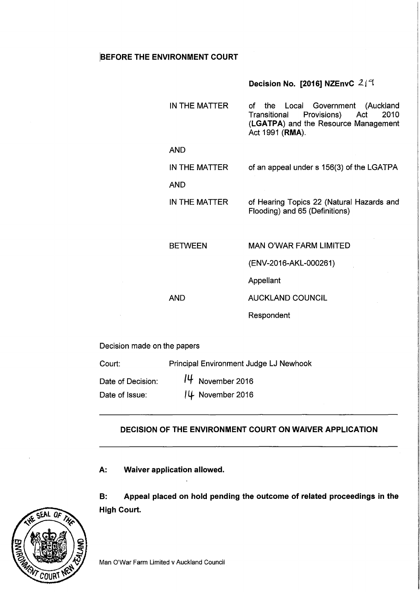# BEFORE THE ENVIRONMENT COURT

# Decision No. [2016] NZEnvC  $2/9$

|                             | IN THE MATTER  | the<br>Local Government (Auckland<br>оf<br>Provisions) Act<br>2010<br>Transitional<br>(LGATPA) and the Resource Management<br>Act 1991 (RMA). |
|-----------------------------|----------------|-----------------------------------------------------------------------------------------------------------------------------------------------|
| <b>AND</b>                  |                |                                                                                                                                               |
|                             | IN THE MATTER  | of an appeal under s 156(3) of the LGATPA                                                                                                     |
| <b>AND</b>                  |                |                                                                                                                                               |
|                             | IN THE MATTER  | of Hearing Topics 22 (Natural Hazards and<br>Flooding) and 65 (Definitions)                                                                   |
|                             | <b>BETWEEN</b> | <b>MAN O'WAR FARM LIMITED</b>                                                                                                                 |
|                             |                | (ENV-2016-AKL-000261)                                                                                                                         |
|                             |                | Appellant                                                                                                                                     |
| <b>AND</b>                  |                | <b>AUCKLAND COUNCIL</b>                                                                                                                       |
|                             |                | Respondent                                                                                                                                    |
| Decision made on the papers |                |                                                                                                                                               |

| Court:            | Principal Environment Judge LJ Newhook |
|-------------------|----------------------------------------|
| Date of Decision: | $14$ November 2016                     |
| Date of Issue:    | 14 November 2016                       |

# DECISION OF THE ENVIRONMENT COURT ON WAIVER APPLICATION

A: Waiver application allowed.

B: Appeal placed on hold pending the outcome of related proceedings in the High Court.

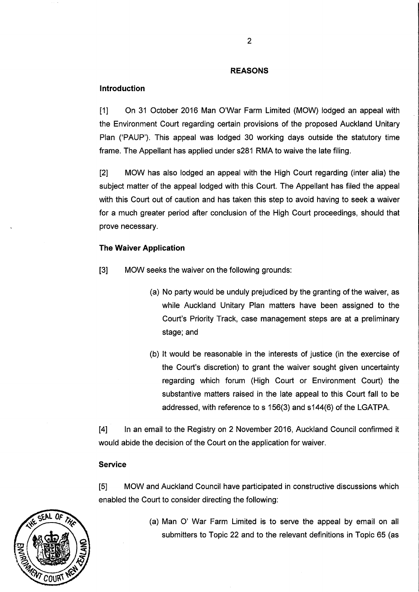## **REASONS**

## **Introduction**

[1] On 31 October 2016 Man O'War Farm Limited (MOW) lodged an appeal with the Environment Court regarding certain provisions of the proposed Auckland Unitary Plan ('PAUP'). This appeal was lodged 30 working days outside the statutory time frame. The Appellant has applied under s281 RMA to waive the late filing.

[2] MOW has also lodged an appeal with the High Court regarding (inter alia) the subject matter of the appeal lodged with this Court. The Appellant has filed the appeal with this Court out of caution and has taken this step to avoid having to seek a waiver for a much greater period after conclusion of the High Court proceedings, should that prove necessary.

#### **The Waiver Application**

- [3] MOW seeks the waiver on the following grounds:
	- (a) No party would be unduly prejudiced by the granting of the waiver, as while Auckland Unitary Plan matters have been assigned to the Court's Priority Track, case management steps are at a preliminary stage; and
	- (b) It would be reasonable in the interests of justice (in the exercise of the Court's discretion) to grant the waiver sought given uncertainty regarding which forum (High Court or Environment Court) the substantive matters raised in the late appeal to this Court fall to be addressed, with reference to s 156(3) and s144(6) of the LGATPA.

[4] In an email to the Registry on 2 November 2016, Auckland Council confirmed it would abide the decision of the Court on the application for waiver.

#### **Service**

[5] MOW and Auckland Council have participated in constructive discussions which enabled the Court to consider directing the following:



(a) Man 0' War Farm Limited is to serve the appeal by email on all submitters to Topic 22 and to the relevant definitions in Topic 65 (as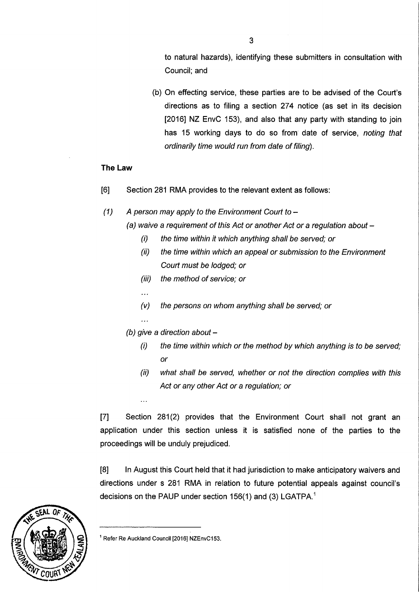to natural hazards), identifying these submitters in consultation with Council; and

(b) On effecting service, these parties are to be advised of the Court's directions as to filing a section 274 notice (as set in its decision [2016] NZ EnvC 153), and also that any party with standing to join has 15 working days to do so from date of service, noting that ordinarily time would run from date of filing).

# **The Law**

- [6] Section 281 RMA provides to the relevant extent as follows:
- (1) A person may apply to the Environment Court to  $-$

```
(a) waive a requirement of this Act or another Act or a regulation about -
```
- (i) the time within it which anything shall be served; or
- (ii) the time within which an appeal or submission to the Environment Court must be lodged; or
- (iii) the method of service; or
- $\sim 100$

 $\dddot{\phantom{0}}$ 

 $\ddotsc$ 

- $(v)$  the persons on whom anything shall be served; or
- (b) give a direction about  $-$ 
	- (i) the time within which or the method by which anything is to be served; or
	- (ii) what shall be served, whether or not the direction complies with this Act or any other Act or a regulation; or

[7] Section 281(2) provides that the Environment Court shall not grant an application under this section unless it is satisfied none of the parties to the proceedings will be unduly prejudiced.

[8] In August this Court held that it had jurisdiction to make anticipatory waivers and directions under s 281 RMA in relation to future potential appeals against council's decisions on the PAUP under section 156(1) and (3) LGATPA.<sup>1</sup>



<sup>&</sup>lt;sup>1</sup> Refer Re Auckland Council [2016] NZEnvC153.